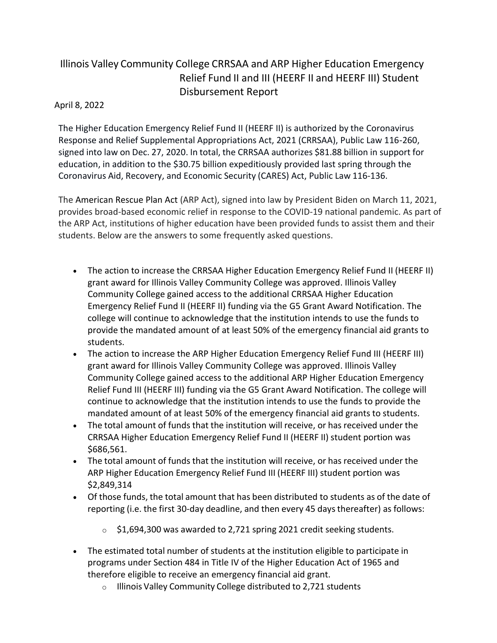## Illinois Valley Community College CRRSAA and ARP Higher Education Emergency Relief Fund II and III (HEERF II and HEERF III) Student Disbursement Report

## April 8, 2022

The Higher Education Emergency Relief Fund II (HEERF II) is authorized by the Coronavirus Response and Relief Supplemental Appropriations Act, 2021 (CRRSAA), Public Law 116-260, signed into law on Dec. 27, 2020. In total, the CRRSAA authorizes \$81.88 billion in support for education, in addition to the \$30.75 billion expeditiously provided last spring through the Coronavirus Aid, Recovery, and Economic Security (CARES) Act, Public Law 116-136.

The American Rescue Plan Act (ARP Act), signed into law by President Biden on March 11, 2021, provides broad-based economic relief in response to the COVID-19 national pandemic. As part of the ARP Act, institutions of higher education have been provided funds to assist them and their students. Below are the answers to some frequently asked questions.

- The action to increase the CRRSAA Higher Education Emergency Relief Fund II (HEERF II) grant award for Illinois Valley Community College was approved. Illinois Valley Community College gained access to the additional CRRSAA Higher Education Emergency Relief Fund II (HEERF II) funding via the G5 Grant Award Notification. The college will continue to acknowledge that the institution intends to use the funds to provide the mandated amount of at least 50% of the emergency financial aid grants to students.
- The action to increase the ARP Higher Education Emergency Relief Fund III (HEERF III) grant award for Illinois Valley Community College was approved. Illinois Valley Community College gained access to the additional ARP Higher Education Emergency Relief Fund III (HEERF III) funding via the G5 Grant Award Notification. The college will continue to acknowledge that the institution intends to use the funds to provide the mandated amount of at least 50% of the emergency financial aid grants to students.
- The total amount of funds that the institution will receive, or has received under the CRRSAA Higher Education Emergency Relief Fund II (HEERF II) student portion was \$686,561.
- The total amount of funds that the institution will receive, or has received under the ARP Higher Education Emergency Relief Fund III (HEERF III) student portion was \$2,849,314
- Of those funds, the total amount that has been distributed to students as of the date of reporting (i.e. the first 30-day deadline, and then every 45 days thereafter) as follows:
	- o \$1,694,300 was awarded to 2,721 spring 2021 credit seeking students.
- The estimated total number of students at the institution eligible to participate in programs under Section 484 in Title IV of the Higher Education Act of 1965 and therefore eligible to receive an emergency financial aid grant.
	- o Illinois Valley Community College distributed to 2,721 students